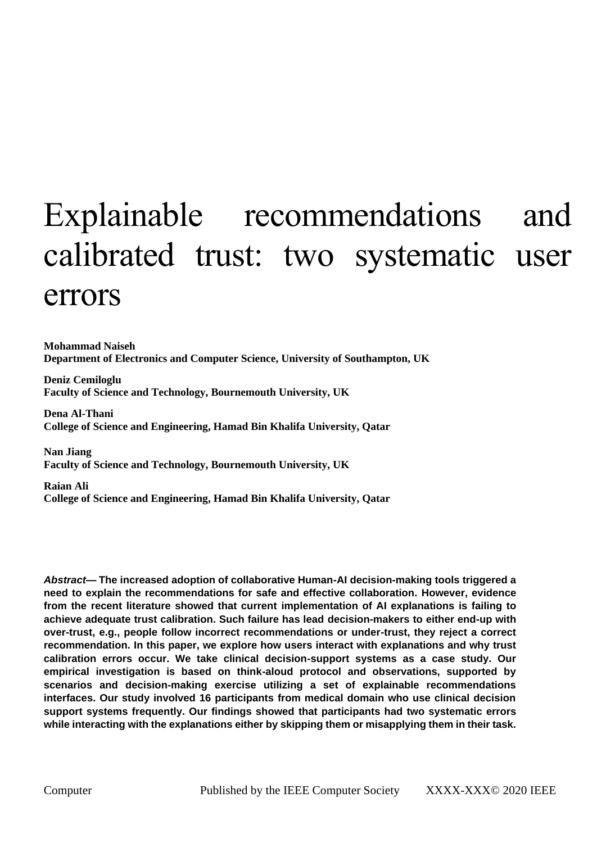# Explainable recommendations and calibrated trust: two systematic user errors

**Mohammad Naiseh Department of Electronics and Computer Science, University of Southampton, UK**

**Deniz Cemiloglu Faculty of Science and Technology, Bournemouth University, UK**

**Dena Al-Thani College of Science and Engineering, Hamad Bin Khalifa University, Qatar**

**Nan Jiang Faculty of Science and Technology, Bournemouth University, UK**

**Raian Ali College of Science and Engineering, Hamad Bin Khalifa University, Qatar**

*Abstract***— The increased adoption of collaborative Human-AI decision-making tools triggered a need to explain the recommendations for safe and effective collaboration. However, evidence from the recent literature showed that current implementation of AI explanations is failing to achieve adequate trust calibration. Such failure has lead decision-makers to either end-up with over-trust, e.g., people follow incorrect recommendations or under-trust, they reject a correct recommendation. In this paper, we explore how users interact with explanations and why trust calibration errors occur. We take clinical decision-support systems as a case study. Our empirical investigation is based on think-aloud protocol and observations, supported by scenarios and decision-making exercise utilizing a set of explainable recommendations interfaces. Our study involved 16 participants from medical domain who use clinical decision support systems frequently. Our findings showed that participants had two systematic errors while interacting with the explanations either by skipping them or misapplying them in their task.**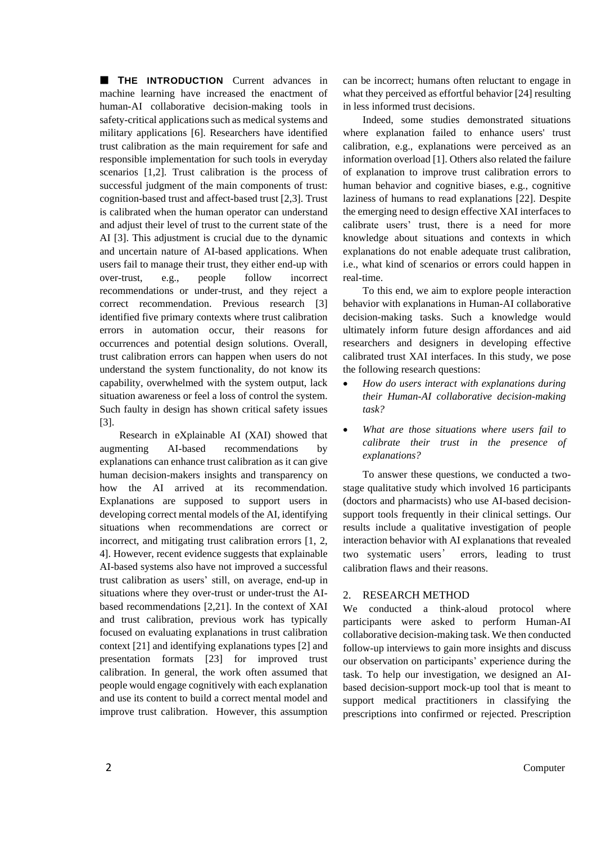**THE INTRODUCTION** Current advances in machine learning have increased the enactment of human-AI collaborative decision-making tools in safety-critical applications such as medical systems and military applications [6]. Researchers have identified trust calibration as the main requirement for safe and responsible implementation for such tools in everyday scenarios [1,2]. Trust calibration is the process of successful judgment of the main components of trust: cognition-based trust and affect-based trust [2,3]. Trust is calibrated when the human operator can understand and adjust their level of trust to the current state of the AI [3]. This adjustment is crucial due to the dynamic and uncertain nature of AI-based applications. When users fail to manage their trust, they either end-up with over-trust, e.g., people follow incorrect recommendations or under-trust, and they reject a correct recommendation. Previous research [3] identified five primary contexts where trust calibration errors in automation occur, their reasons for occurrences and potential design solutions. Overall, trust calibration errors can happen when users do not understand the system functionality, do not know its capability, overwhelmed with the system output, lack situation awareness or feel a loss of control the system. Such faulty in design has shown critical safety issues [3].

Research in eXplainable AI (XAI) showed that augmenting AI-based recommendations by explanations can enhance trust calibration as it can give human decision-makers insights and transparency on how the AI arrived at its recommendation. Explanations are supposed to support users in developing correct mental models of the AI, identifying situations when recommendations are correct or incorrect, and mitigating trust calibration errors [1, 2, 4]. However, recent evidence suggests that explainable AI-based systems also have not improved a successful trust calibration as users' still, on average, end-up in situations where they over-trust or under-trust the AIbased recommendations [2,21]. In the context of XAI and trust calibration, previous work has typically focused on evaluating explanations in trust calibration context [21] and identifying explanations types [2] and presentation formats [23] for improved trust calibration. In general, the work often assumed that people would engage cognitively with each explanation and use its content to build a correct mental model and improve trust calibration. However, this assumption can be incorrect; humans often reluctant to engage in what they perceived as effortful behavior [24] resulting in less informed trust decisions.

Indeed, some studies demonstrated situations where explanation failed to enhance users' trust calibration, e.g., explanations were perceived as an information overload [1]. Others also related the failure of explanation to improve trust calibration errors to human behavior and cognitive biases, e.g., cognitive laziness of humans to read explanations [22]. Despite the emerging need to design effective XAI interfaces to calibrate users' trust, there is a need for more knowledge about situations and contexts in which explanations do not enable adequate trust calibration, i.e., what kind of scenarios or errors could happen in real-time.

To this end, we aim to explore people interaction behavior with explanations in Human-AI collaborative decision-making tasks. Such a knowledge would ultimately inform future design affordances and aid researchers and designers in developing effective calibrated trust XAI interfaces. In this study, we pose the following research questions:

- *How do users interact with explanations during their Human-AI collaborative decision-making task?*
- *What are those situations where users fail to calibrate their trust in the presence of explanations?*

To answer these questions, we conducted a twostage qualitative study which involved 16 participants (doctors and pharmacists) who use AI-based decisionsupport tools frequently in their clinical settings. Our results include a qualitative investigation of people interaction behavior with AI explanations that revealed two systematic users' errors, leading to trust calibration flaws and their reasons.

# 2. RESEARCH METHOD

We conducted a think-aloud protocol where participants were asked to perform Human-AI collaborative decision-making task. We then conducted follow-up interviews to gain more insights and discuss our observation on participants' experience during the task. To help our investigation, we designed an AIbased decision-support mock-up tool that is meant to support medical practitioners in classifying the prescriptions into confirmed or rejected. Prescription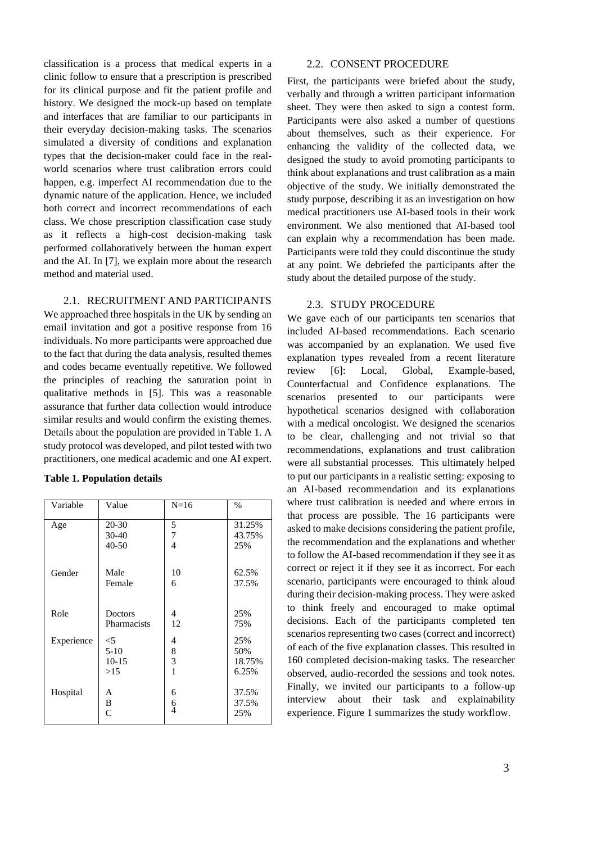classification is a process that medical experts in a clinic follow to ensure that a prescription is prescribed for its clinical purpose and fit the patient profile and history. We designed the mock-up based on template and interfaces that are familiar to our participants in their everyday decision-making tasks. The scenarios simulated a diversity of conditions and explanation types that the decision-maker could face in the realworld scenarios where trust calibration errors could happen, e.g. imperfect AI recommendation due to the dynamic nature of the application. Hence, we included both correct and incorrect recommendations of each class. We chose prescription classification case study as it reflects a high-cost decision-making task performed collaboratively between the human expert and the AI. In [7], we explain more about the research method and material used.

# 2.1. RECRUITMENT AND PARTICIPANTS

We approached three hospitals in the UK by sending an email invitation and got a positive response from 16 individuals. No more participants were approached due to the fact that during the data analysis, resulted themes and codes became eventually repetitive. We followed the principles of reaching the saturation point in qualitative methods in [5]. This was a reasonable assurance that further data collection would introduce similar results and would confirm the existing themes. Details about the population are provided in Table 1. A study protocol was developed, and pilot tested with two practitioners, one medical academic and one AI expert.

## **Table 1. Population details**

| Variable   | Value              | $N=16$             | $\frac{0}{0}$         |
|------------|--------------------|--------------------|-----------------------|
| Age        | $20 - 30$          | 5                  | 31.25%                |
|            | $30 - 40$          | 7                  | 43.75%                |
|            | $40 - 50$          | 4                  | 25%                   |
| Gender     | Male               | 10                 | 62.5%                 |
|            | Female             | 6                  | 37.5%                 |
| Role       | Doctors            | 4                  | 25%                   |
|            | <b>Pharmacists</b> | 12                 | 75%                   |
| Experience | $<$ 5              | 4                  | 25%                   |
|            | $5-10$             | 8                  | 50%                   |
|            | $10-15$            | 3                  | 18.75%                |
|            | >15                | 1                  | 6.25%                 |
| Hospital   | A<br>B<br>C        | 6<br>$\frac{6}{4}$ | 37.5%<br>37.5%<br>25% |

#### 2.2. CONSENT PROCEDURE

First, the participants were briefed about the study, verbally and through a written participant information sheet. They were then asked to sign a contest form. Participants were also asked a number of questions about themselves, such as their experience. For enhancing the validity of the collected data, we designed the study to avoid promoting participants to think about explanations and trust calibration as a main objective of the study. We initially demonstrated the study purpose, describing it as an investigation on how medical practitioners use AI-based tools in their work environment. We also mentioned that AI-based tool can explain why a recommendation has been made. Participants were told they could discontinue the study at any point. We debriefed the participants after the study about the detailed purpose of the study.

## 2.3. STUDY PROCEDURE

We gave each of our participants ten scenarios that included AI-based recommendations. Each scenario was accompanied by an explanation. We used five explanation types revealed from a recent literature review [6]: Local, Global, Example-based, Counterfactual and Confidence explanations. The scenarios presented to our participants were hypothetical scenarios designed with collaboration with a medical oncologist. We designed the scenarios to be clear, challenging and not trivial so that recommendations, explanations and trust calibration were all substantial processes. This ultimately helped to put our participants in a realistic setting: exposing to an AI-based recommendation and its explanations where trust calibration is needed and where errors in that process are possible. The 16 participants were asked to make decisions considering the patient profile, the recommendation and the explanations and whether to follow the AI-based recommendation if they see it as correct or reject it if they see it as incorrect. For each scenario, participants were encouraged to think aloud during their decision-making process. They were asked to think freely and encouraged to make optimal decisions. Each of the participants completed ten scenarios representing two cases (correct and incorrect) of each of the five explanation classes. This resulted in 160 completed decision-making tasks. The researcher observed, audio-recorded the sessions and took notes. Finally, we invited our participants to a follow-up interview about their task and explainability experience. Figure 1 summarizes the study workflow.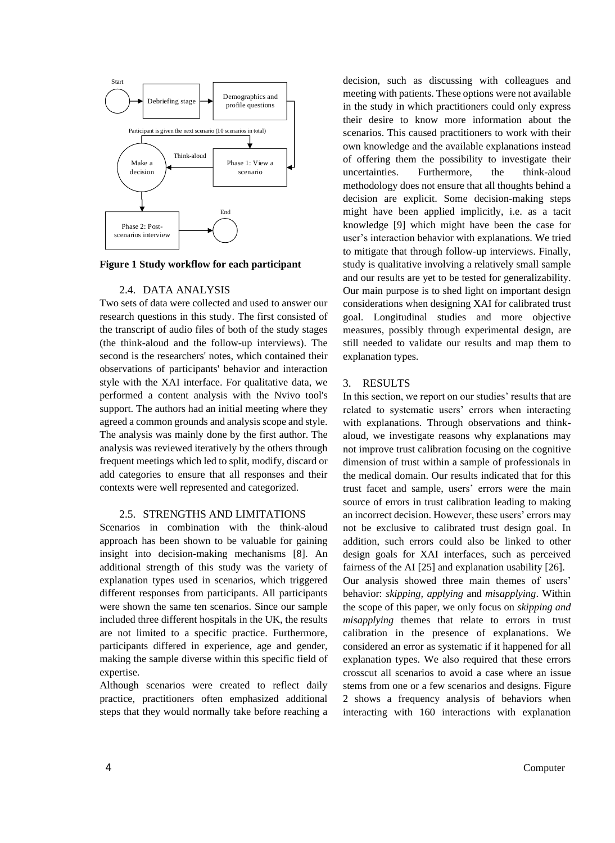

**Figure 1 Study workflow for each participant**

## 2.4. DATA ANALYSIS

Two sets of data were collected and used to answer our research questions in this study. The first consisted of the transcript of audio files of both of the study stages (the think-aloud and the follow-up interviews). The second is the researchers' notes, which contained their observations of participants' behavior and interaction style with the XAI interface. For qualitative data, we performed a content analysis with the Nvivo tool's support. The authors had an initial meeting where they agreed a common grounds and analysis scope and style. The analysis was mainly done by the first author. The analysis was reviewed iteratively by the others through frequent meetings which led to split, modify, discard or add categories to ensure that all responses and their contexts were well represented and categorized.

#### 2.5. STRENGTHS AND LIMITATIONS

Scenarios in combination with the think-aloud approach has been shown to be valuable for gaining insight into decision-making mechanisms [8]. An additional strength of this study was the variety of explanation types used in scenarios, which triggered different responses from participants. All participants were shown the same ten scenarios. Since our sample included three different hospitals in the UK, the results are not limited to a specific practice. Furthermore, participants differed in experience, age and gender, making the sample diverse within this specific field of expertise.

Although scenarios were created to reflect daily practice, practitioners often emphasized additional steps that they would normally take before reaching a decision, such as discussing with colleagues and meeting with patients. These options were not available in the study in which practitioners could only express their desire to know more information about the scenarios. This caused practitioners to work with their own knowledge and the available explanations instead of offering them the possibility to investigate their uncertainties. Furthermore, the think-aloud methodology does not ensure that all thoughts behind a decision are explicit. Some decision-making steps might have been applied implicitly, i.e. as a tacit knowledge [9] which might have been the case for user's interaction behavior with explanations. We tried to mitigate that through follow-up interviews. Finally, study is qualitative involving a relatively small sample and our results are yet to be tested for generalizability. Our main purpose is to shed light on important design considerations when designing XAI for calibrated trust goal. Longitudinal studies and more objective measures, possibly through experimental design, are still needed to validate our results and map them to explanation types.

# 3. RESULTS

In this section, we report on our studies' results that are related to systematic users' errors when interacting with explanations. Through observations and thinkaloud, we investigate reasons why explanations may not improve trust calibration focusing on the cognitive dimension of trust within a sample of professionals in the medical domain. Our results indicated that for this trust facet and sample, users' errors were the main source of errors in trust calibration leading to making an incorrect decision. However, these users' errors may not be exclusive to calibrated trust design goal. In addition, such errors could also be linked to other design goals for XAI interfaces, such as perceived fairness of the AI [25] and explanation usability [26]. Our analysis showed three main themes of users' behavior: *skipping, applying* and *misapplying*. Within the scope of this paper, we only focus on *skipping and misapplying* themes that relate to errors in trust calibration in the presence of explanations. We considered an error as systematic if it happened for all explanation types. We also required that these errors crosscut all scenarios to avoid a case where an issue stems from one or a few scenarios and designs. Figure 2 shows a frequency analysis of behaviors when interacting with 160 interactions with explanation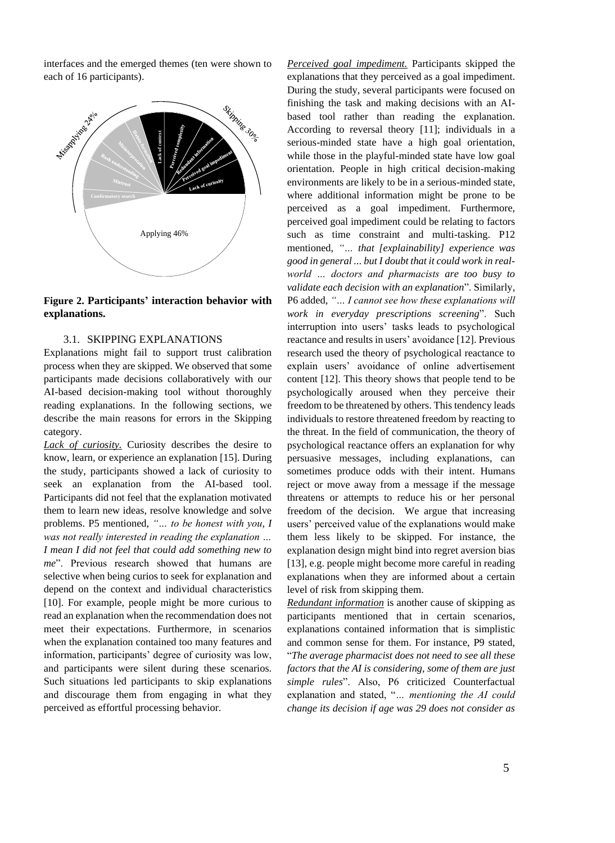interfaces and the emerged themes (ten were shown to each of 16 participants).



**Figure 2. Participants' interaction behavior with explanations.**

### 3.1. SKIPPING EXPLANATIONS

Explanations might fail to support trust calibration process when they are skipped. We observed that some participants made decisions collaboratively with our AI-based decision-making tool without thoroughly reading explanations. In the following sections, we describe the main reasons for errors in the Skipping category.

*Lack of curiosity.* Curiosity describes the desire to know, learn, or experience an explanation [15]. During the study, participants showed a lack of curiosity to seek an explanation from the AI-based tool. Participants did not feel that the explanation motivated them to learn new ideas, resolve knowledge and solve problems. P5 mentioned, *"… to be honest with you, I was not really interested in reading the explanation … I mean I did not feel that could add something new to me*". Previous research showed that humans are selective when being curios to seek for explanation and depend on the context and individual characteristics [10]. For example, people might be more curious to read an explanation when the recommendation does not meet their expectations. Furthermore, in scenarios when the explanation contained too many features and information, participants' degree of curiosity was low, and participants were silent during these scenarios. Such situations led participants to skip explanations and discourage them from engaging in what they perceived as effortful processing behavior.

*Perceived goal impediment.* Participants skipped the explanations that they perceived as a goal impediment. During the study, several participants were focused on finishing the task and making decisions with an AIbased tool rather than reading the explanation. According to reversal theory [11]; individuals in a serious-minded state have a high goal orientation, while those in the playful-minded state have low goal orientation. People in high critical decision-making environments are likely to be in a serious-minded state, where additional information might be prone to be perceived as a goal impediment. Furthermore, perceived goal impediment could be relating to factors such as time constraint and multi-tasking. P12 mentioned, *"… that [explainability] experience was good in general ... but I doubt that it could work in realworld … doctors and pharmacists are too busy to validate each decision with an explanation*". Similarly, P6 added, *"… I cannot see how these explanations will work in everyday prescriptions screening*". Such interruption into users' tasks leads to psychological reactance and results in users' avoidance [12]. Previous research used the theory of psychological reactance to explain users' avoidance of online advertisement content [12]. This theory shows that people tend to be psychologically aroused when they perceive their freedom to be threatened by others. This tendency leads individuals to restore threatened freedom by reacting to the threat. In the field of communication, the theory of psychological reactance offers an explanation for why persuasive messages, including explanations, can sometimes produce odds with their intent. Humans reject or move away from a message if the message threatens or attempts to reduce his or her personal freedom of the decision. We argue that increasing users' perceived value of the explanations would make them less likely to be skipped. For instance, the explanation design might bind into regret aversion bias [13], e.g. people might become more careful in reading explanations when they are informed about a certain level of risk from skipping them.

*Redundant information* is another cause of skipping as participants mentioned that in certain scenarios, explanations contained information that is simplistic and common sense for them. For instance, P9 stated, "*The average pharmacist does not need to see all these factors that the AI is considering, some of them are just simple rules*". Also, P6 criticized Counterfactual explanation and stated, "*… mentioning the AI could change its decision if age was 29 does not consider as*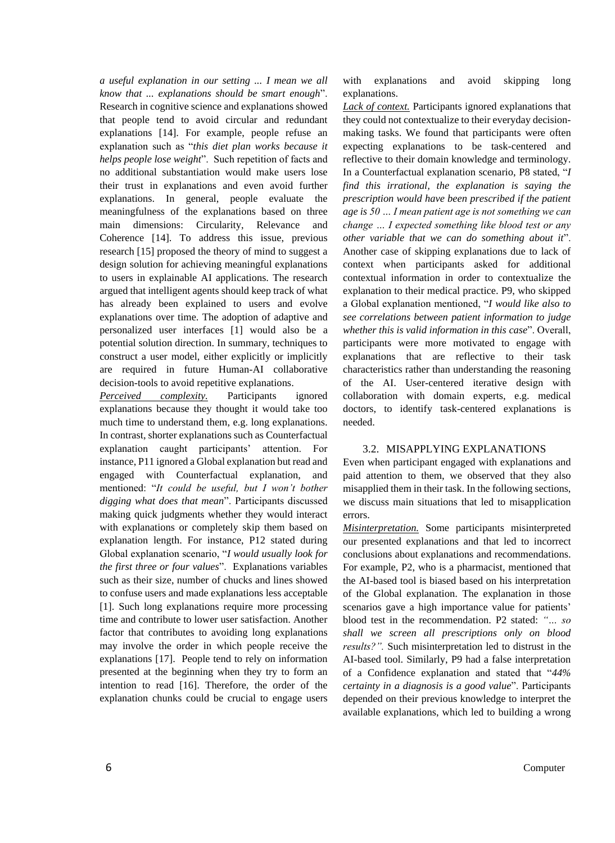*a useful explanation in our setting ... I mean we all know that ... explanations should be smart enough*". Research in cognitive science and explanations showed that people tend to avoid circular and redundant explanations [14]. For example, people refuse an explanation such as "*this diet plan works because it helps people lose weight*". Such repetition of facts and no additional substantiation would make users lose their trust in explanations and even avoid further explanations. In general, people evaluate the meaningfulness of the explanations based on three main dimensions: Circularity, Relevance and Coherence [14]. To address this issue, previous research [15] proposed the theory of mind to suggest a design solution for achieving meaningful explanations to users in explainable AI applications. The research argued that intelligent agents should keep track of what has already been explained to users and evolve explanations over time. The adoption of adaptive and personalized user interfaces [1] would also be a potential solution direction. In summary, techniques to construct a user model, either explicitly or implicitly are required in future Human-AI collaborative decision-tools to avoid repetitive explanations.

*Perceived complexity.* Participants ignored explanations because they thought it would take too much time to understand them, e.g. long explanations. In contrast, shorter explanations such as Counterfactual explanation caught participants' attention. For instance, P11 ignored a Global explanation but read and engaged with Counterfactual explanation, and mentioned: "*It could be useful, but I won't bother digging what does that mean*". Participants discussed making quick judgments whether they would interact with explanations or completely skip them based on explanation length. For instance, P12 stated during Global explanation scenario, "*I would usually look for the first three or four values*". Explanations variables such as their size, number of chucks and lines showed to confuse users and made explanations less acceptable [1]. Such long explanations require more processing time and contribute to lower user satisfaction. Another factor that contributes to avoiding long explanations may involve the order in which people receive the explanations [17]. People tend to rely on information presented at the beginning when they try to form an intention to read [16]. Therefore, the order of the explanation chunks could be crucial to engage users with explanations and avoid skipping long explanations.

*Lack of context.* Participants ignored explanations that they could not contextualize to their everyday decisionmaking tasks. We found that participants were often expecting explanations to be task-centered and reflective to their domain knowledge and terminology. In a Counterfactual explanation scenario, P8 stated, "*I find this irrational, the explanation is saying the prescription would have been prescribed if the patient age is 50 … I mean patient age is not something we can change … I expected something like blood test or any other variable that we can do something about it*". Another case of skipping explanations due to lack of context when participants asked for additional contextual information in order to contextualize the explanation to their medical practice. P9, who skipped a Global explanation mentioned, "*I would like also to see correlations between patient information to judge whether this is valid information in this case*". Overall, participants were more motivated to engage with explanations that are reflective to their task characteristics rather than understanding the reasoning of the AI. User-centered iterative design with collaboration with domain experts, e.g. medical doctors, to identify task-centered explanations is needed.

#### 3.2. MISAPPLYING EXPLANATIONS

Even when participant engaged with explanations and paid attention to them, we observed that they also misapplied them in their task. In the following sections, we discuss main situations that led to misapplication errors.

*Misinterpretation.* Some participants misinterpreted our presented explanations and that led to incorrect conclusions about explanations and recommendations. For example, P2, who is a pharmacist, mentioned that the AI-based tool is biased based on his interpretation of the Global explanation. The explanation in those scenarios gave a high importance value for patients' blood test in the recommendation. P2 stated: *"… so shall we screen all prescriptions only on blood results?".* Such misinterpretation led to distrust in the AI-based tool. Similarly, P9 had a false interpretation of a Confidence explanation and stated that "*44% certainty in a diagnosis is a good value*". Participants depended on their previous knowledge to interpret the available explanations, which led to building a wrong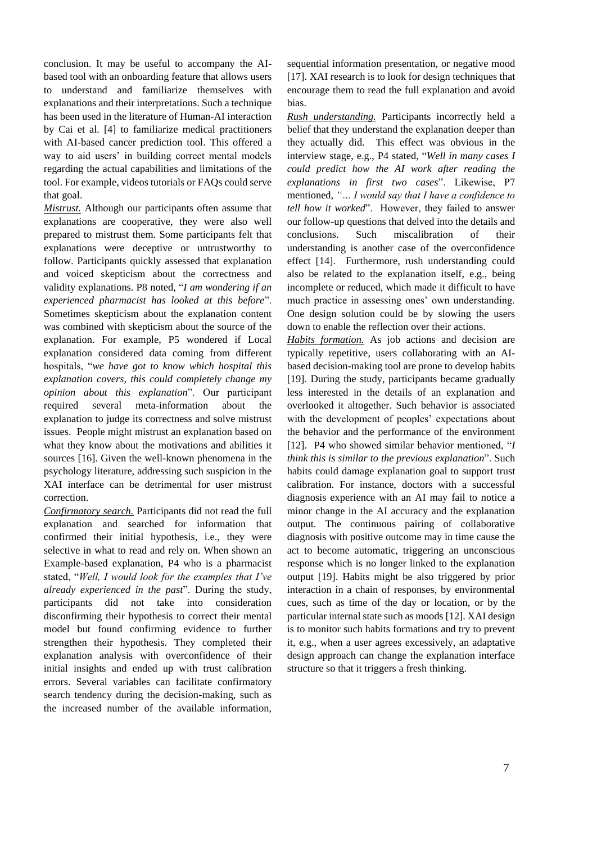conclusion. It may be useful to accompany the AIbased tool with an onboarding feature that allows users to understand and familiarize themselves with explanations and their interpretations. Such a technique has been used in the literature of Human-AI interaction by Cai et al. [4] to familiarize medical practitioners with AI-based cancer prediction tool. This offered a way to aid users' in building correct mental models regarding the actual capabilities and limitations of the tool. For example, videos tutorials or FAQs could serve that goal.

*Mistrust.* Although our participants often assume that explanations are cooperative, they were also well prepared to mistrust them. Some participants felt that explanations were deceptive or untrustworthy to follow. Participants quickly assessed that explanation and voiced skepticism about the correctness and validity explanations. P8 noted, "*I am wondering if an experienced pharmacist has looked at this before*". Sometimes skepticism about the explanation content was combined with skepticism about the source of the explanation. For example, P5 wondered if Local explanation considered data coming from different hospitals, "*we have got to know which hospital this explanation covers, this could completely change my opinion about this explanation*". Our participant required several meta-information about the explanation to judge its correctness and solve mistrust issues. People might mistrust an explanation based on what they know about the motivations and abilities it sources [16]. Given the well-known phenomena in the psychology literature, addressing such suspicion in the XAI interface can be detrimental for user mistrust correction.

*Confirmatory search.* Participants did not read the full explanation and searched for information that confirmed their initial hypothesis, i.e., they were selective in what to read and rely on. When shown an Example-based explanation, P4 who is a pharmacist stated, "*Well, I would look for the examples that I've already experienced in the past*". During the study, participants did not take into consideration disconfirming their hypothesis to correct their mental model but found confirming evidence to further strengthen their hypothesis. They completed their explanation analysis with overconfidence of their initial insights and ended up with trust calibration errors. Several variables can facilitate confirmatory search tendency during the decision-making, such as the increased number of the available information, sequential information presentation, or negative mood [17]. XAI research is to look for design techniques that encourage them to read the full explanation and avoid bias.

*Rush understanding.* Participants incorrectly held a belief that they understand the explanation deeper than they actually did. This effect was obvious in the interview stage, e.g., P4 stated, "*Well in many cases I could predict how the AI work after reading the explanations in first two cases*". Likewise, P7 mentioned, *"… I would say that I have a confidence to tell how it worked*". However, they failed to answer our follow-up questions that delved into the details and conclusions. Such miscalibration of their understanding is another case of the overconfidence effect [14]. Furthermore, rush understanding could also be related to the explanation itself, e.g., being incomplete or reduced, which made it difficult to have much practice in assessing ones' own understanding. One design solution could be by slowing the users down to enable the reflection over their actions.

*Habits formation.* As job actions and decision are typically repetitive, users collaborating with an AIbased decision-making tool are prone to develop habits [19]. During the study, participants became gradually less interested in the details of an explanation and overlooked it altogether. Such behavior is associated with the development of peoples' expectations about the behavior and the performance of the environment [12]. P4 who showed similar behavior mentioned, "*I think this is similar to the previous explanation*". Such habits could damage explanation goal to support trust calibration. For instance, doctors with a successful diagnosis experience with an AI may fail to notice a minor change in the AI accuracy and the explanation output. The continuous pairing of collaborative diagnosis with positive outcome may in time cause the act to become automatic, triggering an unconscious response which is no longer linked to the explanation output [19]. Habits might be also triggered by prior interaction in a chain of responses, by environmental cues, such as time of the day or location, or by the particular internal state such as moods [12]. XAI design is to monitor such habits formations and try to prevent it, e.g., when a user agrees excessively, an adaptative design approach can change the explanation interface structure so that it triggers a fresh thinking.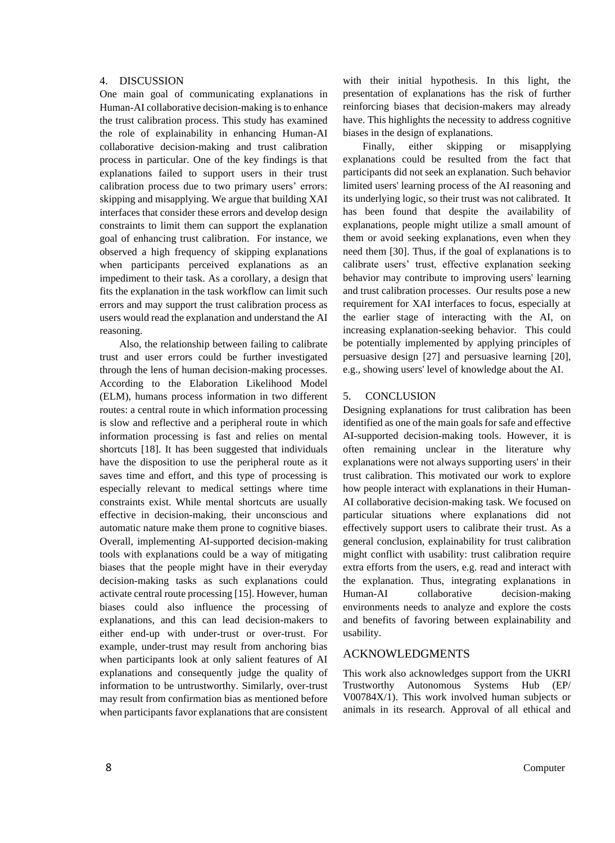#### 4. DISCUSSION

One main goal of communicating explanations in Human-AI collaborative decision-making is to enhance the trust calibration process. This study has examined the role of explainability in enhancing Human-AI collaborative decision-making and trust calibration process in particular. One of the key findings is that explanations failed to support users in their trust calibration process due to two primary users' errors: skipping and misapplying. We argue that building XAI interfaces that consider these errors and develop design constraints to limit them can support the explanation goal of enhancing trust calibration. For instance, we observed a high frequency of skipping explanations when participants perceived explanations as an impediment to their task. As a corollary, a design that fits the explanation in the task workflow can limit such errors and may support the trust calibration process as users would read the explanation and understand the AI reasoning.

Also, the relationship between failing to calibrate trust and user errors could be further investigated through the lens of human decision-making processes. According to the Elaboration Likelihood Model (ELM), humans process information in two different routes: a central route in which information processing is slow and reflective and a peripheral route in which information processing is fast and relies on mental shortcuts [18]. It has been suggested that individuals have the disposition to use the peripheral route as it saves time and effort, and this type of processing is especially relevant to medical settings where time constraints exist. While mental shortcuts are usually effective in decision-making, their unconscious and automatic nature make them prone to cognitive biases. Overall, implementing AI-supported decision-making tools with explanations could be a way of mitigating biases that the people might have in their everyday decision-making tasks as such explanations could activate central route processing [15]. However, human biases could also influence the processing of explanations, and this can lead decision-makers to either end-up with under-trust or over-trust. For example, under-trust may result from anchoring bias when participants look at only salient features of AI explanations and consequently judge the quality of information to be untrustworthy. Similarly, over-trust may result from confirmation bias as mentioned before when participants favor explanations that are consistent with their initial hypothesis. In this light, the presentation of explanations has the risk of further reinforcing biases that decision-makers may already have. This highlights the necessity to address cognitive biases in the design of explanations.

Finally, either skipping or misapplying explanations could be resulted from the fact that participants did not seek an explanation. Such behavior limited users' learning process of the AI reasoning and its underlying logic, so their trust was not calibrated. It has been found that despite the availability of explanations, people might utilize a small amount of them or avoid seeking explanations, even when they need them [30]. Thus, if the goal of explanations is to calibrate users' trust, effective explanation seeking behavior may contribute to improving users' learning and trust calibration processes. Our results pose a new requirement for XAI interfaces to focus, especially at the earlier stage of interacting with the AI, on increasing explanation-seeking behavior. This could be potentially implemented by applying principles of persuasive design [27] and persuasive learning [20], e.g., showing users' level of knowledge about the AI.

## 5. CONCLUSION

Designing explanations for trust calibration has been identified as one of the main goals for safe and effective AI-supported decision-making tools. However, it is often remaining unclear in the literature why explanations were not always supporting users' in their trust calibration. This motivated our work to explore how people interact with explanations in their Human-AI collaborative decision-making task. We focused on particular situations where explanations did not effectively support users to calibrate their trust. As a general conclusion, explainability for trust calibration might conflict with usability: trust calibration require extra efforts from the users, e.g. read and interact with the explanation. Thus, integrating explanations in Human-AI collaborative decision-making environments needs to analyze and explore the costs and benefits of favoring between explainability and usability.

# ACKNOWLEDGMENTS

This work also acknowledges support from the UKRI Trustworthy Autonomous Systems Hub (EP/ V00784X/1). This work involved human subjects or animals in its research. Approval of all ethical and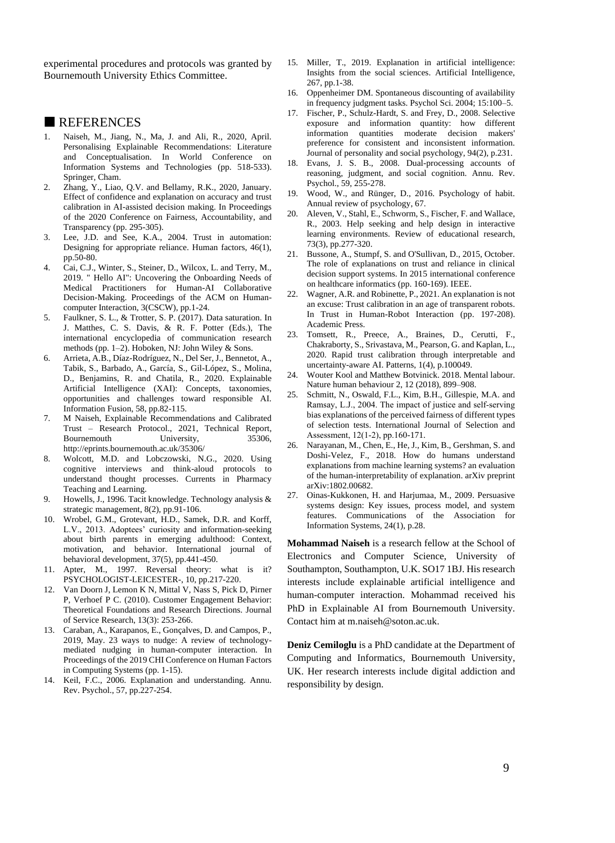experimental procedures and protocols was granted by Bournemouth University Ethics Committee.

## **REFERENCES**

- 1. Naiseh, M., Jiang, N., Ma, J. and Ali, R., 2020, April. Personalising Explainable Recommendations: Literature and Conceptualisation. In World Conference on Information Systems and Technologies (pp. 518-533). Springer, Cham.
- 2. Zhang, Y., Liao, Q.V. and Bellamy, R.K., 2020, January. Effect of confidence and explanation on accuracy and trust calibration in AI-assisted decision making. In Proceedings of the 2020 Conference on Fairness, Accountability, and Transparency (pp. 295-305).
- 3. Lee, J.D. and See, K.A., 2004. Trust in automation: Designing for appropriate reliance. Human factors, 46(1), pp.50-80.
- 4. Cai, C.J., Winter, S., Steiner, D., Wilcox, L. and Terry, M., 2019. " Hello AI": Uncovering the Onboarding Needs of Medical Practitioners for Human-AI Collaborative Decision-Making. Proceedings of the ACM on Humancomputer Interaction, 3(CSCW), pp.1-24.
- 5. Faulkner, S. L., & Trotter, S. P. (2017). Data saturation. In J. Matthes, C. S. Davis, & R. F. Potter (Eds.), The international encyclopedia of communication research methods (pp. 1–2). Hoboken, NJ: John Wiley & Sons.
- 6. Arrieta, A.B., Díaz-Rodríguez, N., Del Ser, J., Bennetot, A., Tabik, S., Barbado, A., García, S., Gil-López, S., Molina, D., Benjamins, R. and Chatila, R., 2020. Explainable Artificial Intelligence (XAI): Concepts, taxonomies, opportunities and challenges toward responsible AI. Information Fusion, 58, pp.82-115.
- 7. M Naiseh, Explainable Recommendations and Calibrated Trust – Research Protocol., 2021, Technical Report, Bournemouth University, 35306, http://eprints.bournemouth.ac.uk/35306/
- 8. Wolcott, M.D. and Lobczowski, N.G., 2020. Using cognitive interviews and think-aloud protocols to understand thought processes. Currents in Pharmacy Teaching and Learning.
- 9. Howells, J., 1996. Tacit knowledge. Technology analysis & strategic management, 8(2), pp.91-106.
- 10. Wrobel, G.M., Grotevant, H.D., Samek, D.R. and Korff, L.V., 2013. Adoptees' curiosity and information-seeking about birth parents in emerging adulthood: Context, motivation, and behavior. International journal of behavioral development, 37(5), pp.441-450.
- 11. Apter, M., 1997. Reversal theory: what is it? PSYCHOLOGIST-LEICESTER-, 10, pp.217-220.
- 12. Van Doorn J, Lemon K N, Mittal V, Nass S, Pick D, Pirner P, Verhoef P C. (2010). Customer Engagement Behavior: Theoretical Foundations and Research Directions. Journal of Service Research, 13(3): 253-266.
- 13. Caraban, A., Karapanos, E., Gonçalves, D. and Campos, P., 2019, May. 23 ways to nudge: A review of technologymediated nudging in human-computer interaction. In Proceedings of the 2019 CHI Conference on Human Factors in Computing Systems (pp. 1-15).
- 14. Keil, F.C., 2006. Explanation and understanding. Annu. Rev. Psychol., 57, pp.227-254.
- 15. Miller, T., 2019. Explanation in artificial intelligence: Insights from the social sciences. Artificial Intelligence, 267, pp.1-38.
- 16. Oppenheimer DM. Spontaneous discounting of availability in frequency judgment tasks. Psychol Sci. 2004; 15:100–5.
- 17. Fischer, P., Schulz-Hardt, S. and Frey, D., 2008. Selective exposure and information quantity: how different information quantities moderate decision makers' preference for consistent and inconsistent information. Journal of personality and social psychology, 94(2), p.231.
- 18. Evans, J. S. B., 2008. Dual-processing accounts of reasoning, judgment, and social cognition. Annu. Rev. Psychol., 59, 255-278.
- 19. Wood, W., and Rünger, D., 2016. Psychology of habit. Annual review of psychology, 67.
- 20. Aleven, V., Stahl, E., Schworm, S., Fischer, F. and Wallace, R., 2003. Help seeking and help design in interactive learning environments. Review of educational research, 73(3), pp.277-320.
- 21. Bussone, A., Stumpf, S. and O'Sullivan, D., 2015, October. The role of explanations on trust and reliance in clinical decision support systems. In 2015 international conference on healthcare informatics (pp. 160-169). IEEE.
- 22. Wagner, A.R. and Robinette, P., 2021. An explanation is not an excuse: Trust calibration in an age of transparent robots. In Trust in Human-Robot Interaction (pp. 197-208). Academic Press.
- 23. Tomsett, R., Preece, A., Braines, D., Cerutti, F., Chakraborty, S., Srivastava, M., Pearson, G. and Kaplan, L., 2020. Rapid trust calibration through interpretable and uncertainty-aware AI. Patterns, 1(4), p.100049.
- 24. Wouter Kool and Matthew Botvinick. 2018. Mental labour. Nature human behaviour 2, 12 (2018), 899–908.
- 25. Schmitt, N., Oswald, F.L., Kim, B.H., Gillespie, M.A. and Ramsay, L.J., 2004. The impact of justice and self‐serving bias explanations of the perceived fairness of different types of selection tests. International Journal of Selection and Assessment, 12(1‐2), pp.160-171.
- 26. Narayanan, M., Chen, E., He, J., Kim, B., Gershman, S. and Doshi-Velez, F., 2018. How do humans understand explanations from machine learning systems? an evaluation of the human-interpretability of explanation. arXiv preprint arXiv:1802.00682.
- 27. Oinas-Kukkonen, H. and Harjumaa, M., 2009. Persuasive systems design: Key issues, process model, and system features. Communications of the Association for Information Systems, 24(1), p.28.

**Mohammad Naiseh** is a research fellow at the School of Electronics and Computer Science, University of Southampton, Southampton, U.K. SO17 1BJ. His research interests include explainable artificial intelligence and human-computer interaction. Mohammad received his PhD in Explainable AI from Bournemouth University. Contact him a[t m.naiseh@soton.ac.uk.](mailto:m.naiseh@soton.ac.uk)

**Deniz Cemiloglu** is a PhD candidate at the Department of Computing and Informatics, Bournemouth University, UK. Her research interests include digital addiction and responsibility by design.